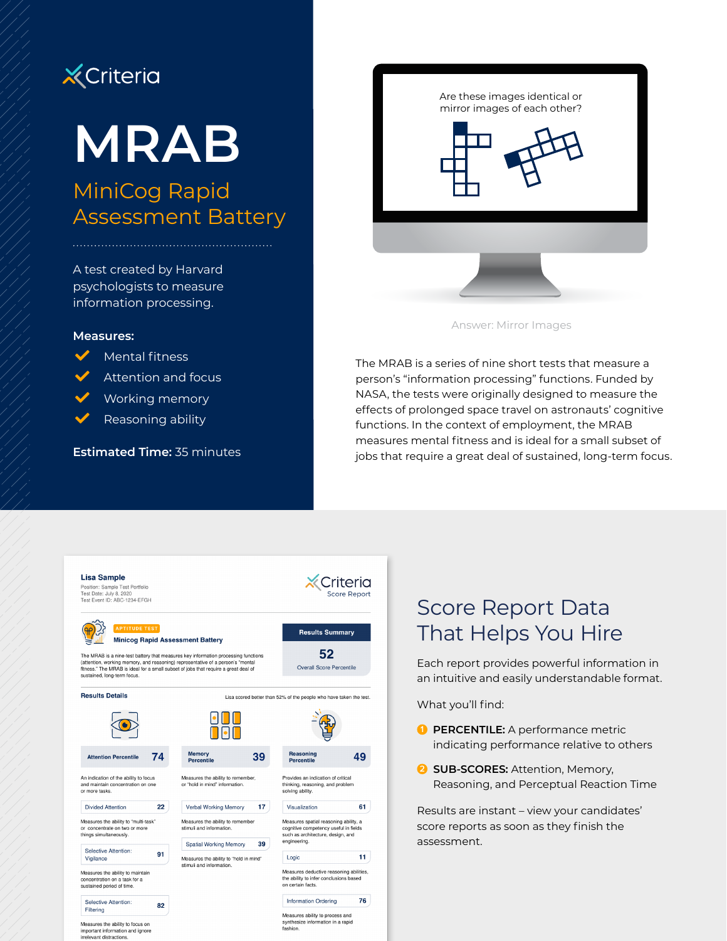

# **MRAB**

# MiniCog Rapid Assessment Battery

A test created by Harvard psychologists to measure information processing.

#### **Measures:**

Mental fitness

Attention and focus

Working memory

Reasoning ability

**Estimated Time:** 35 minutes



Answer: Mirror Images

The MRAB is a series of nine short tests that measure a person's "information processing" functions. Funded by NASA, the tests were originally designed to measure the effects of prolonged space travel on astronauts' cognitive functions. In the context of employment, the MRAB measures mental fitness and is ideal for a small subset of jobs that require a great deal of sustained, long-term focus.



## Score Report Data That Helps You Hire

Each report provides powerful information in an intuitive and easily understandable format.

What you'll find:

- **1 PERCENTILE:** A performance metric indicating performance relative to others
- **2** SUB-SCORES: Attention, Memory, Reasoning, and Perceptual Reaction Time

Results are instant – view your candidates' score reports as soon as they finish the assessment.